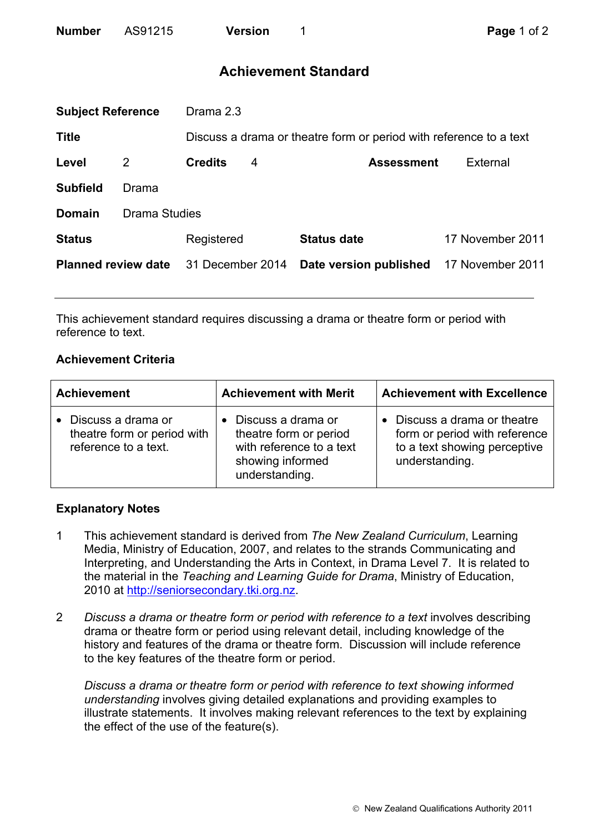# **Achievement Standard**

| <b>Subject Reference</b>   |               | Drama 2.3        |   |                                                                    |                  |  |
|----------------------------|---------------|------------------|---|--------------------------------------------------------------------|------------------|--|
| <b>Title</b>               |               |                  |   | Discuss a drama or theatre form or period with reference to a text |                  |  |
| Level                      | 2             | <b>Credits</b>   | 4 | <b>Assessment</b>                                                  | External         |  |
| <b>Subfield</b>            | Drama         |                  |   |                                                                    |                  |  |
| <b>Domain</b>              | Drama Studies |                  |   |                                                                    |                  |  |
| <b>Status</b>              |               | Registered       |   | <b>Status date</b>                                                 | 17 November 2011 |  |
| <b>Planned review date</b> |               | 31 December 2014 |   | Date version published                                             | 17 November 2011 |  |
|                            |               |                  |   |                                                                    |                  |  |

This achievement standard requires discussing a drama or theatre form or period with reference to text.

## **Achievement Criteria**

| <b>Achievement</b>                                                          | <b>Achievement with Merit</b>                                                                                  | <b>Achievement with Excellence</b>                                                                            |  |
|-----------------------------------------------------------------------------|----------------------------------------------------------------------------------------------------------------|---------------------------------------------------------------------------------------------------------------|--|
| • Discuss a drama or<br>theatre form or period with<br>reference to a text. | Discuss a drama or<br>theatre form or period<br>with reference to a text<br>showing informed<br>understanding. | Discuss a drama or theatre<br>form or period with reference<br>to a text showing perceptive<br>understanding. |  |

### **Explanatory Notes**

- 1 This achievement standard is derived from *The New Zealand Curriculum*, Learning Media, Ministry of Education, 2007, and relates to the strands Communicating and Interpreting, and Understanding the Arts in Context, in Drama Level 7. It is related to the material in the *Teaching and Learning Guide for Drama*, Ministry of Education, 2010 at http://seniorsecondary.tki.org.nz.
- 2 *Discuss a drama or theatre form or period with reference to a text* involves describing drama or theatre form or period using relevant detail, including knowledge of the history and features of the drama or theatre form. Discussion will include reference to the key features of the theatre form or period.

*Discuss a drama or theatre form or period with reference to text showing informed understanding* involves giving detailed explanations and providing examples to illustrate statements. It involves making relevant references to the text by explaining the effect of the use of the feature(s).